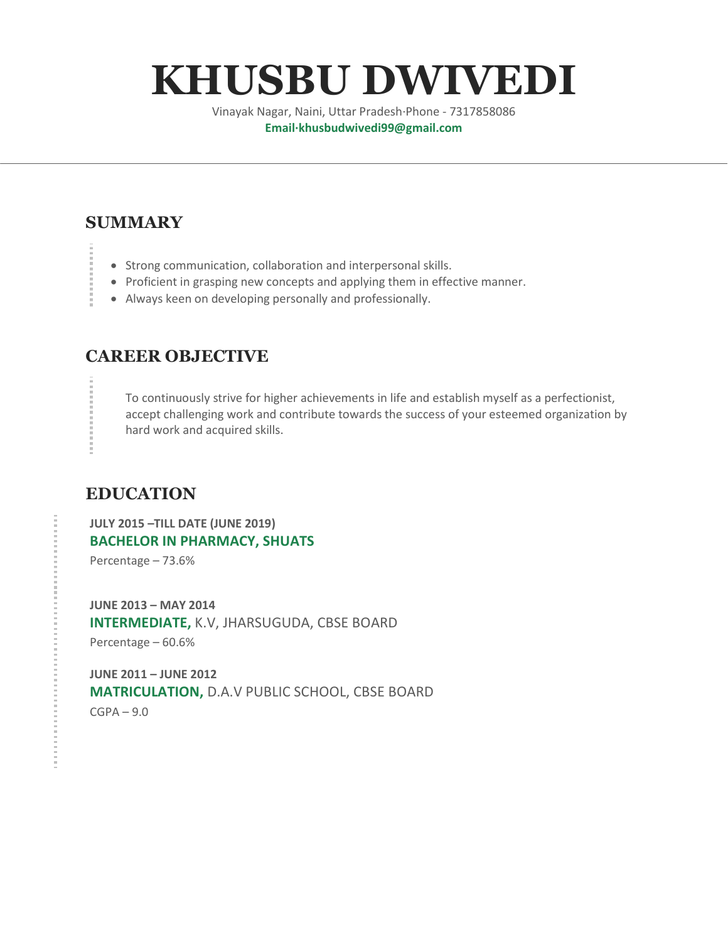# **KHUSBU DWIVEDI**

Vinayak Nagar, Naini, Uttar Pradesh·Phone - 7317858086 **Email·khusbudwivedi99@gmail.com**

# **SUMMARY**

- Strong communication, collaboration and interpersonal skills.
- Proficient in grasping new concepts and applying them in effective manner.
- Always keen on developing personally and professionally.

#### **CAREER OBJECTIVE**

To continuously strive for higher achievements in life and establish myself as a perfectionist, accept challenging work and contribute towards the success of your esteemed organization by hard work and acquired skills.

#### **EDUCATION**

**JULY 2015 –TILL DATE (JUNE 2019) BACHELOR IN PHARMACY, SHUATS** Percentage – 73.6%

**JUNE 2013 – MAY 2014 INTERMEDIATE,** K.V, JHARSUGUDA, CBSE BOARD Percentage – 60.6%

**JUNE 2011 – JUNE 2012 MATRICULATION,** D.A.V PUBLIC SCHOOL, CBSE BOARD  $CGPA - 9.0$